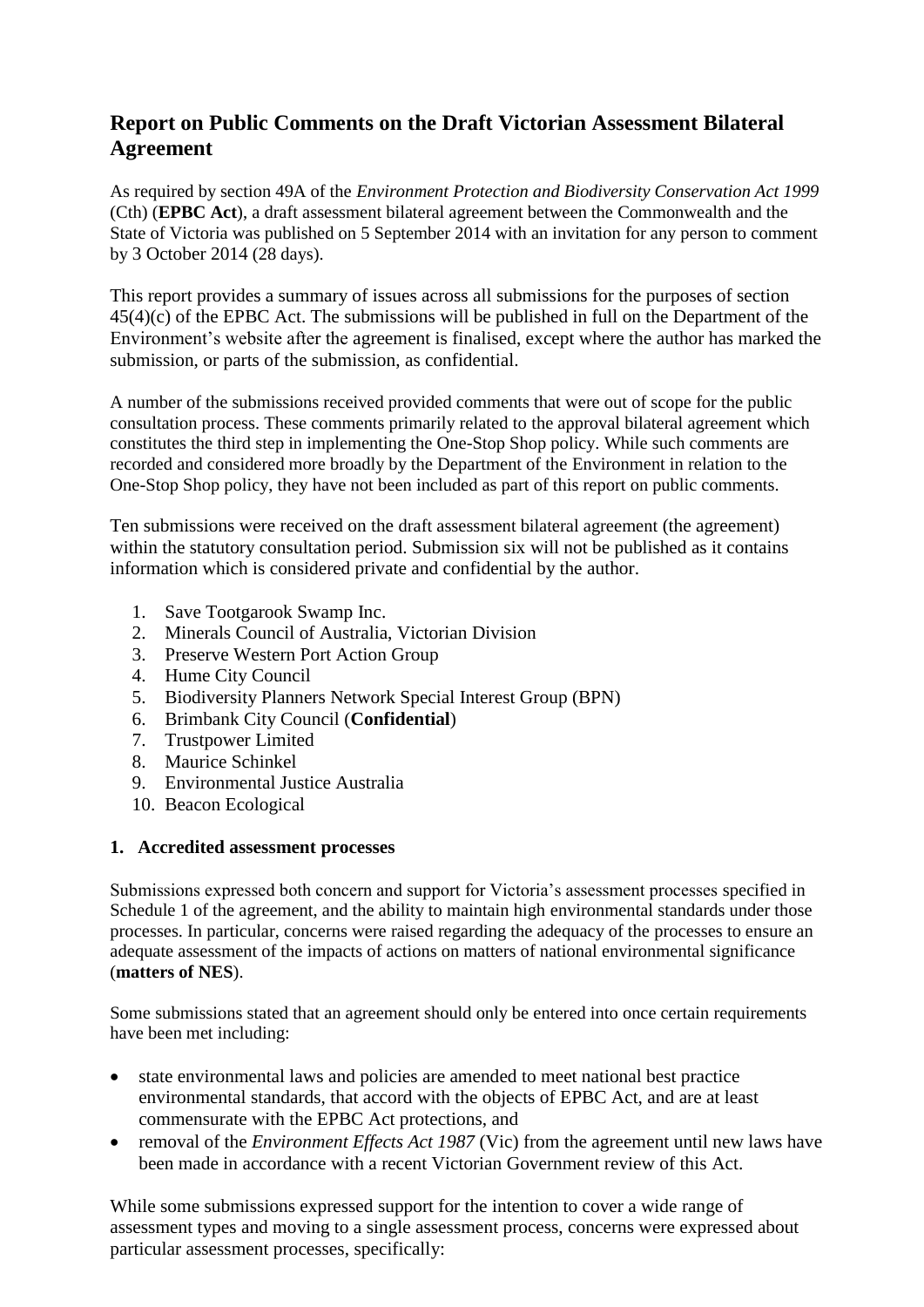# **Report on Public Comments on the Draft Victorian Assessment Bilateral Agreement**

As required by section 49A of the *Environment Protection and Biodiversity Conservation Act 1999*  (Cth) (**EPBC Act**), a draft assessment bilateral agreement between the Commonwealth and the State of Victoria was published on 5 September 2014 with an invitation for any person to comment by 3 October 2014 (28 days).

This report provides a summary of issues across all submissions for the purposes of section 45(4)(c) of the EPBC Act. The submissions will be published in full on the Department of the Environment's website after the agreement is finalised, except where the author has marked the submission, or parts of the submission, as confidential.

A number of the submissions received provided comments that were out of scope for the public consultation process. These comments primarily related to the approval bilateral agreement which constitutes the third step in implementing the One-Stop Shop policy. While such comments are recorded and considered more broadly by the Department of the Environment in relation to the One-Stop Shop policy, they have not been included as part of this report on public comments.

Ten submissions were received on the draft assessment bilateral agreement (the agreement) within the statutory consultation period. Submission six will not be published as it contains information which is considered private and confidential by the author.

- 1. Save Tootgarook Swamp Inc.
- 2. Minerals Council of Australia, Victorian Division
- 3. Preserve Western Port Action Group
- 4. Hume City Council
- 5. Biodiversity Planners Network Special Interest Group (BPN)
- 6. Brimbank City Council (**Confidential**)
- 7. Trustpower Limited
- 8. Maurice Schinkel
- 9. Environmental Justice Australia
- 10. Beacon Ecological

## **1. Accredited assessment processes**

Submissions expressed both concern and support for Victoria's assessment processes specified in Schedule 1 of the agreement, and the ability to maintain high environmental standards under those processes. In particular, concerns were raised regarding the adequacy of the processes to ensure an adequate assessment of the impacts of actions on matters of national environmental significance (**matters of NES**).

Some submissions stated that an agreement should only be entered into once certain requirements have been met including:

- state environmental laws and policies are amended to meet national best practice environmental standards, that accord with the objects of EPBC Act, and are at least commensurate with the EPBC Act protections, and
- removal of the *Environment Effects Act 1987* (Vic) from the agreement until new laws have been made in accordance with a recent Victorian Government review of this Act.

While some submissions expressed support for the intention to cover a wide range of assessment types and moving to a single assessment process, concerns were expressed about particular assessment processes, specifically: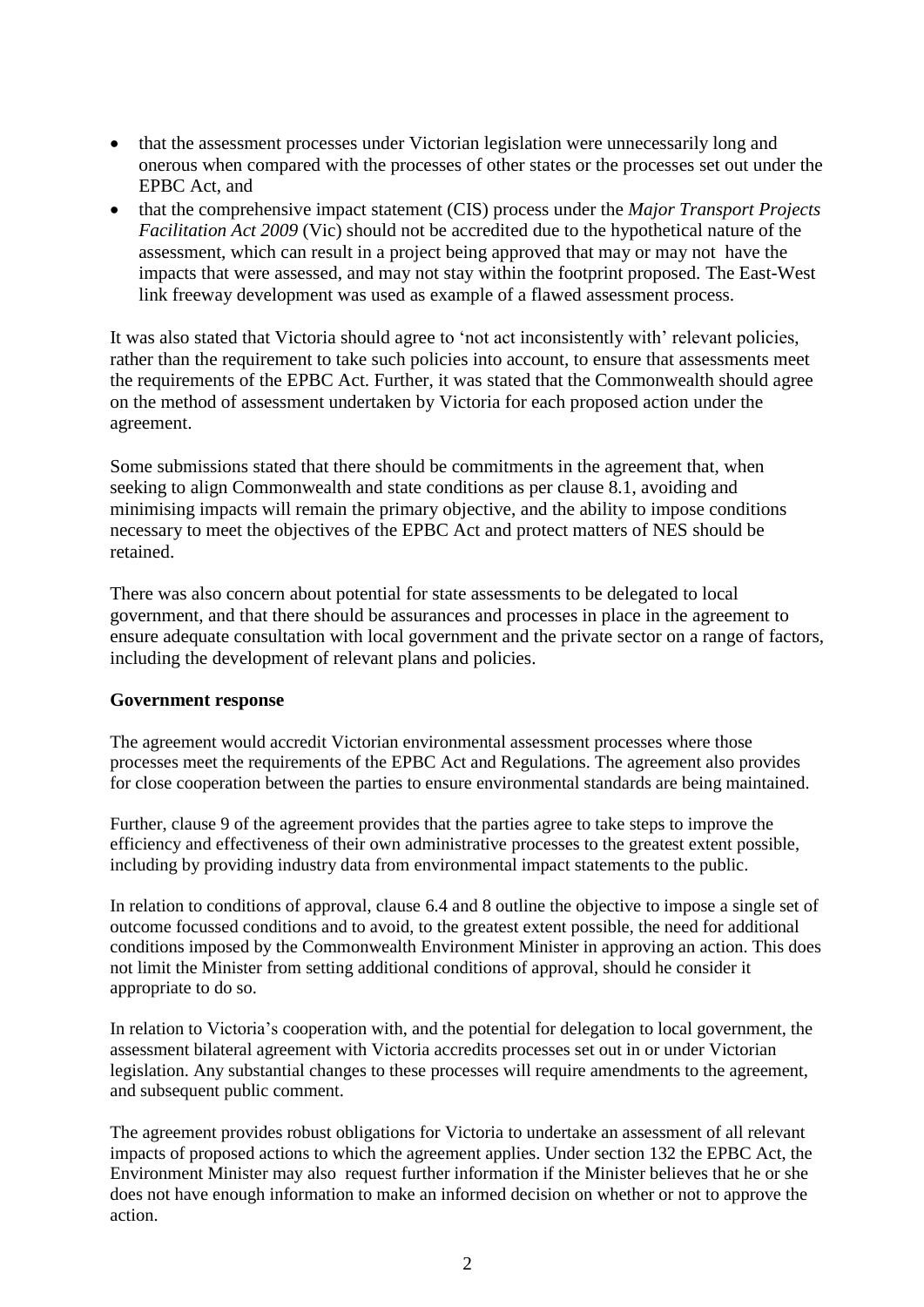- that the assessment processes under Victorian legislation were unnecessarily long and onerous when compared with the processes of other states or the processes set out under the EPBC Act, and
- that the comprehensive impact statement (CIS) process under the *Major Transport Projects Facilitation Act 2009* (Vic) should not be accredited due to the hypothetical nature of the assessment, which can result in a project being approved that may or may not have the impacts that were assessed, and may not stay within the footprint proposed. The East-West link freeway development was used as example of a flawed assessment process.

It was also stated that Victoria should agree to 'not act inconsistently with' relevant policies, rather than the requirement to take such policies into account, to ensure that assessments meet the requirements of the EPBC Act. Further, it was stated that the Commonwealth should agree on the method of assessment undertaken by Victoria for each proposed action under the agreement.

Some submissions stated that there should be commitments in the agreement that, when seeking to align Commonwealth and state conditions as per clause 8.1, avoiding and minimising impacts will remain the primary objective, and the ability to impose conditions necessary to meet the objectives of the EPBC Act and protect matters of NES should be retained.

There was also concern about potential for state assessments to be delegated to local government, and that there should be assurances and processes in place in the agreement to ensure adequate consultation with local government and the private sector on a range of factors, including the development of relevant plans and policies.

## **Government response**

The agreement would accredit Victorian environmental assessment processes where those processes meet the requirements of the EPBC Act and Regulations. The agreement also provides for close cooperation between the parties to ensure environmental standards are being maintained.

Further, clause 9 of the agreement provides that the parties agree to take steps to improve the efficiency and effectiveness of their own administrative processes to the greatest extent possible, including by providing industry data from environmental impact statements to the public.

In relation to conditions of approval, clause 6.4 and 8 outline the objective to impose a single set of outcome focussed conditions and to avoid, to the greatest extent possible, the need for additional conditions imposed by the Commonwealth Environment Minister in approving an action. This does not limit the Minister from setting additional conditions of approval, should he consider it appropriate to do so.

In relation to Victoria's cooperation with, and the potential for delegation to local government, the assessment bilateral agreement with Victoria accredits processes set out in or under Victorian legislation. Any substantial changes to these processes will require amendments to the agreement, and subsequent public comment.

The agreement provides robust obligations for Victoria to undertake an assessment of all relevant impacts of proposed actions to which the agreement applies. Under section 132 the EPBC Act, the Environment Minister may also request further information if the Minister believes that he or she does not have enough information to make an informed decision on whether or not to approve the action.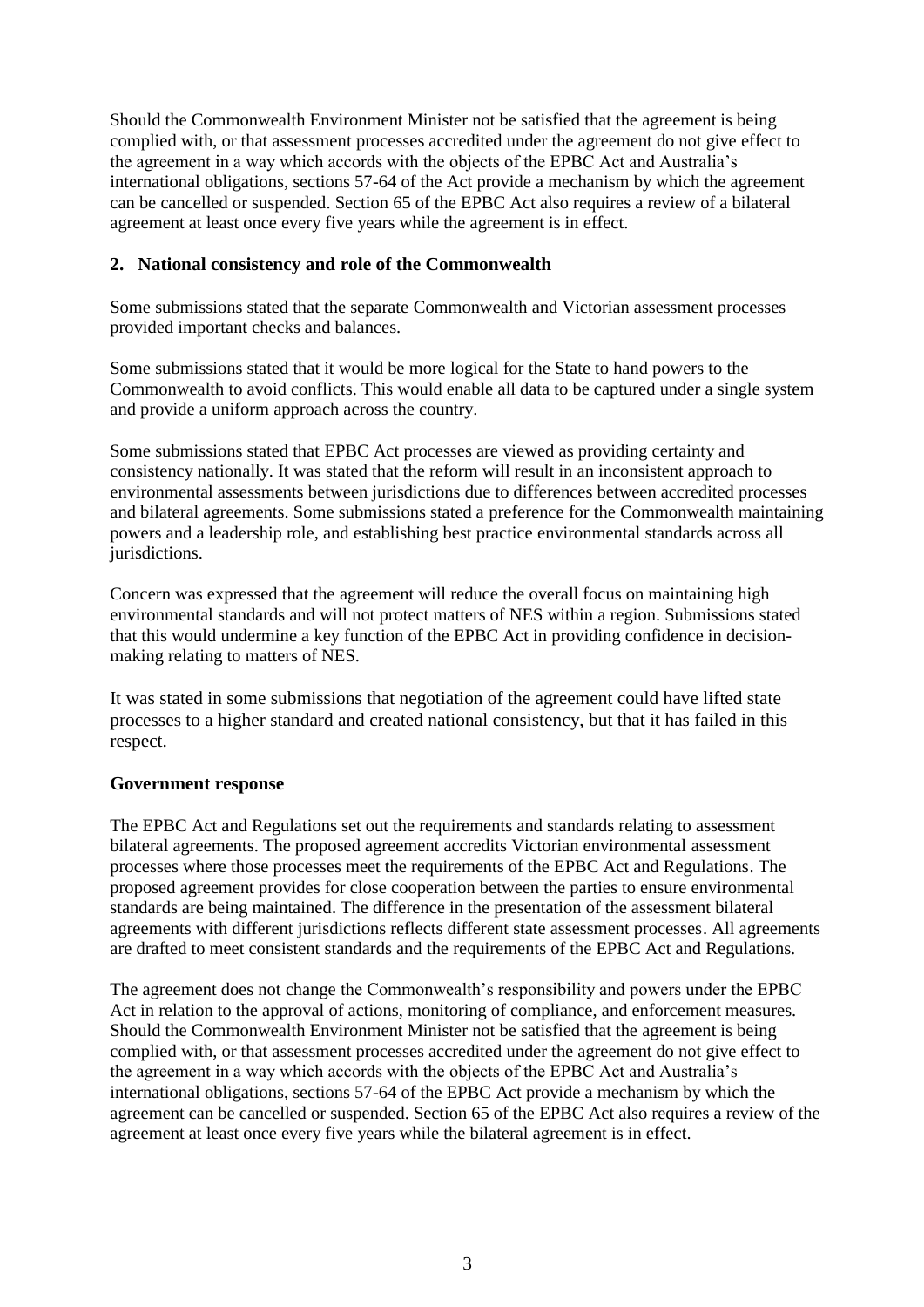Should the Commonwealth Environment Minister not be satisfied that the agreement is being complied with, or that assessment processes accredited under the agreement do not give effect to the agreement in a way which accords with the objects of the EPBC Act and Australia's international obligations, sections 57-64 of the Act provide a mechanism by which the agreement can be cancelled or suspended. Section 65 of the EPBC Act also requires a review of a bilateral agreement at least once every five years while the agreement is in effect.

## **2. National consistency and role of the Commonwealth**

Some submissions stated that the separate Commonwealth and Victorian assessment processes provided important checks and balances.

Some submissions stated that it would be more logical for the State to hand powers to the Commonwealth to avoid conflicts. This would enable all data to be captured under a single system and provide a uniform approach across the country.

Some submissions stated that EPBC Act processes are viewed as providing certainty and consistency nationally. It was stated that the reform will result in an inconsistent approach to environmental assessments between jurisdictions due to differences between accredited processes and bilateral agreements. Some submissions stated a preference for the Commonwealth maintaining powers and a leadership role, and establishing best practice environmental standards across all jurisdictions.

Concern was expressed that the agreement will reduce the overall focus on maintaining high environmental standards and will not protect matters of NES within a region. Submissions stated that this would undermine a key function of the EPBC Act in providing confidence in decisionmaking relating to matters of NES.

It was stated in some submissions that negotiation of the agreement could have lifted state processes to a higher standard and created national consistency, but that it has failed in this respect.

# **Government response**

The EPBC Act and Regulations set out the requirements and standards relating to assessment bilateral agreements. The proposed agreement accredits Victorian environmental assessment processes where those processes meet the requirements of the EPBC Act and Regulations. The proposed agreement provides for close cooperation between the parties to ensure environmental standards are being maintained. The difference in the presentation of the assessment bilateral agreements with different jurisdictions reflects different state assessment processes. All agreements are drafted to meet consistent standards and the requirements of the EPBC Act and Regulations.

The agreement does not change the Commonwealth's responsibility and powers under the EPBC Act in relation to the approval of actions, monitoring of compliance, and enforcement measures. Should the Commonwealth Environment Minister not be satisfied that the agreement is being complied with, or that assessment processes accredited under the agreement do not give effect to the agreement in a way which accords with the objects of the EPBC Act and Australia's international obligations, sections 57-64 of the EPBC Act provide a mechanism by which the agreement can be cancelled or suspended. Section 65 of the EPBC Act also requires a review of the agreement at least once every five years while the bilateral agreement is in effect.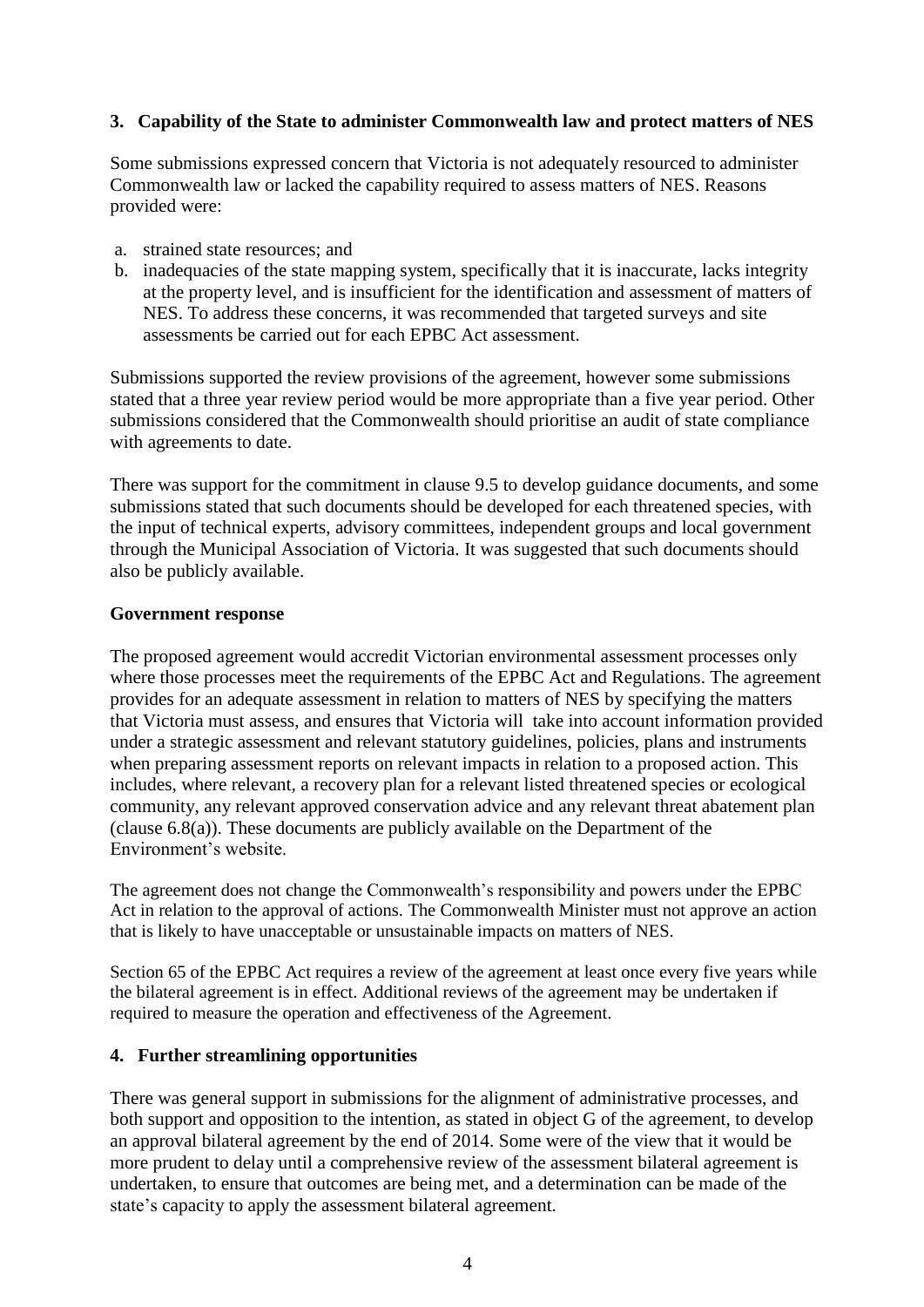# **3. Capability of the State to administer Commonwealth law and protect matters of NES**

Some submissions expressed concern that Victoria is not adequately resourced to administer Commonwealth law or lacked the capability required to assess matters of NES. Reasons provided were:

- a. strained state resources; and
- b. inadequacies of the state mapping system, specifically that it is inaccurate, lacks integrity at the property level, and is insufficient for the identification and assessment of matters of NES. To address these concerns, it was recommended that targeted surveys and site assessments be carried out for each EPBC Act assessment.

Submissions supported the review provisions of the agreement, however some submissions stated that a three year review period would be more appropriate than a five year period. Other submissions considered that the Commonwealth should prioritise an audit of state compliance with agreements to date.

There was support for the commitment in clause 9.5 to develop guidance documents, and some submissions stated that such documents should be developed for each threatened species, with the input of technical experts, advisory committees, independent groups and local government through the Municipal Association of Victoria. It was suggested that such documents should also be publicly available.

#### **Government response**

The proposed agreement would accredit Victorian environmental assessment processes only where those processes meet the requirements of the EPBC Act and Regulations. The agreement provides for an adequate assessment in relation to matters of NES by specifying the matters that Victoria must assess, and ensures that Victoria will take into account information provided under a strategic assessment and relevant statutory guidelines, policies, plans and instruments when preparing assessment reports on relevant impacts in relation to a proposed action. This includes, where relevant, a recovery plan for a relevant listed threatened species or ecological community, any relevant approved conservation advice and any relevant threat abatement plan (clause 6.8(a)). These documents are publicly available on the Department of the Environment's website.

The agreement does not change the Commonwealth's responsibility and powers under the EPBC Act in relation to the approval of actions. The Commonwealth Minister must not approve an action that is likely to have unacceptable or unsustainable impacts on matters of NES.

Section 65 of the EPBC Act requires a review of the agreement at least once every five years while the bilateral agreement is in effect. Additional reviews of the agreement may be undertaken if required to measure the operation and effectiveness of the Agreement.

## **4. Further streamlining opportunities**

There was general support in submissions for the alignment of administrative processes, and both support and opposition to the intention, as stated in object G of the agreement, to develop an approval bilateral agreement by the end of 2014. Some were of the view that it would be more prudent to delay until a comprehensive review of the assessment bilateral agreement is undertaken, to ensure that outcomes are being met, and a determination can be made of the state's capacity to apply the assessment bilateral agreement.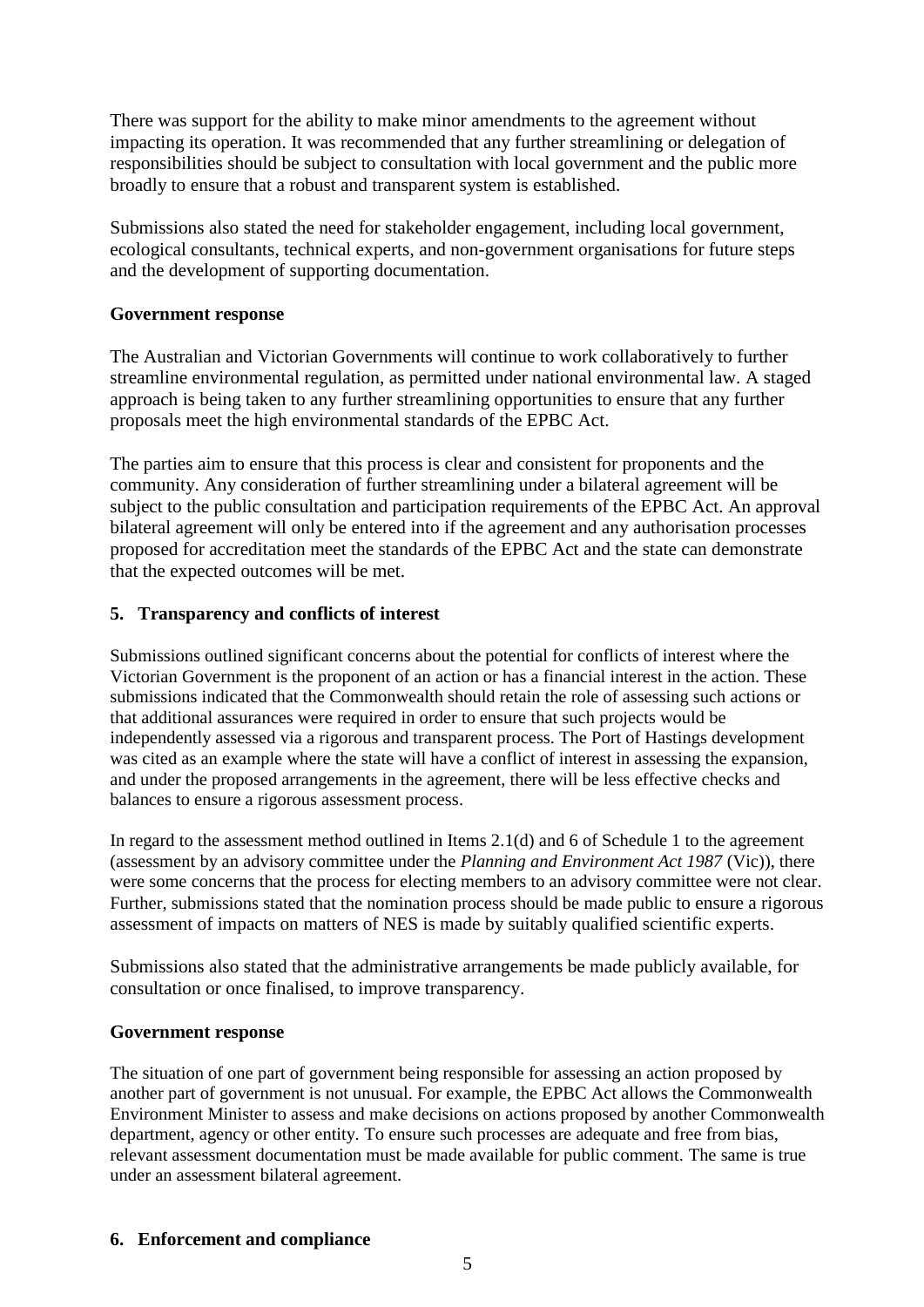There was support for the ability to make minor amendments to the agreement without impacting its operation. It was recommended that any further streamlining or delegation of responsibilities should be subject to consultation with local government and the public more broadly to ensure that a robust and transparent system is established.

Submissions also stated the need for stakeholder engagement, including local government, ecological consultants, technical experts, and non-government organisations for future steps and the development of supporting documentation.

## **Government response**

The Australian and Victorian Governments will continue to work collaboratively to further streamline environmental regulation, as permitted under national environmental law. A staged approach is being taken to any further streamlining opportunities to ensure that any further proposals meet the high environmental standards of the EPBC Act.

The parties aim to ensure that this process is clear and consistent for proponents and the community. Any consideration of further streamlining under a bilateral agreement will be subject to the public consultation and participation requirements of the EPBC Act. An approval bilateral agreement will only be entered into if the agreement and any authorisation processes proposed for accreditation meet the standards of the EPBC Act and the state can demonstrate that the expected outcomes will be met.

## **5. Transparency and conflicts of interest**

Submissions outlined significant concerns about the potential for conflicts of interest where the Victorian Government is the proponent of an action or has a financial interest in the action. These submissions indicated that the Commonwealth should retain the role of assessing such actions or that additional assurances were required in order to ensure that such projects would be independently assessed via a rigorous and transparent process. The Port of Hastings development was cited as an example where the state will have a conflict of interest in assessing the expansion, and under the proposed arrangements in the agreement, there will be less effective checks and balances to ensure a rigorous assessment process.

In regard to the assessment method outlined in Items 2.1(d) and 6 of Schedule 1 to the agreement (assessment by an advisory committee under the *Planning and Environment Act 1987* (Vic)), there were some concerns that the process for electing members to an advisory committee were not clear. Further, submissions stated that the nomination process should be made public to ensure a rigorous assessment of impacts on matters of NES is made by suitably qualified scientific experts.

Submissions also stated that the administrative arrangements be made publicly available, for consultation or once finalised, to improve transparency.

## **Government response**

The situation of one part of government being responsible for assessing an action proposed by another part of government is not unusual. For example, the EPBC Act allows the Commonwealth Environment Minister to assess and make decisions on actions proposed by another Commonwealth department, agency or other entity. To ensure such processes are adequate and free from bias, relevant assessment documentation must be made available for public comment. The same is true under an assessment bilateral agreement.

# **6. Enforcement and compliance**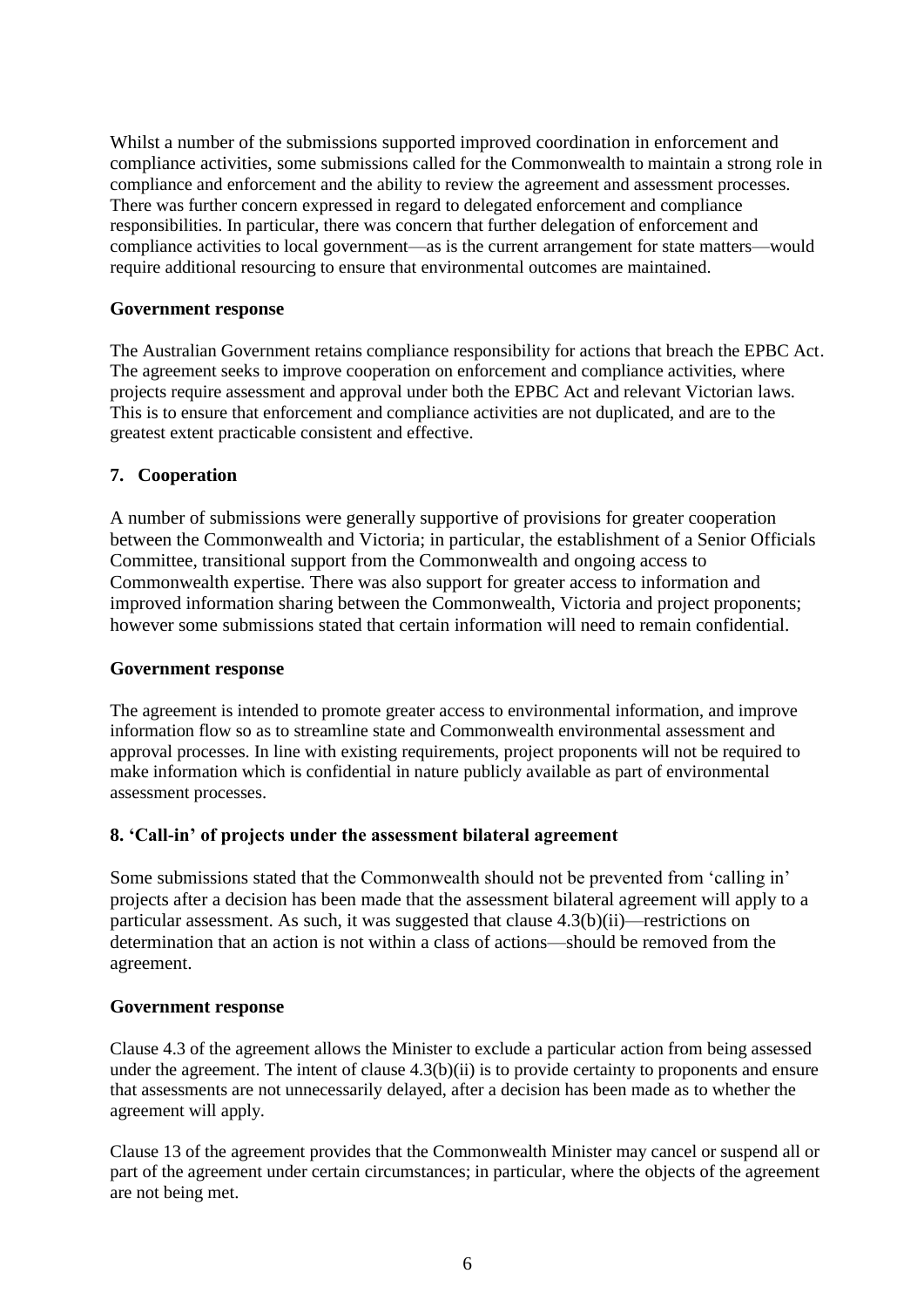Whilst a number of the submissions supported improved coordination in enforcement and compliance activities, some submissions called for the Commonwealth to maintain a strong role in compliance and enforcement and the ability to review the agreement and assessment processes. There was further concern expressed in regard to delegated enforcement and compliance responsibilities. In particular, there was concern that further delegation of enforcement and compliance activities to local government—as is the current arrangement for state matters—would require additional resourcing to ensure that environmental outcomes are maintained.

# **Government response**

The Australian Government retains compliance responsibility for actions that breach the EPBC Act. The agreement seeks to improve cooperation on enforcement and compliance activities, where projects require assessment and approval under both the EPBC Act and relevant Victorian laws. This is to ensure that enforcement and compliance activities are not duplicated, and are to the greatest extent practicable consistent and effective.

## **7. Cooperation**

A number of submissions were generally supportive of provisions for greater cooperation between the Commonwealth and Victoria; in particular, the establishment of a Senior Officials Committee, transitional support from the Commonwealth and ongoing access to Commonwealth expertise. There was also support for greater access to information and improved information sharing between the Commonwealth, Victoria and project proponents; however some submissions stated that certain information will need to remain confidential.

## **Government response**

The agreement is intended to promote greater access to environmental information, and improve information flow so as to streamline state and Commonwealth environmental assessment and approval processes. In line with existing requirements, project proponents will not be required to make information which is confidential in nature publicly available as part of environmental assessment processes.

# **8. 'Call-in' of projects under the assessment bilateral agreement**

Some submissions stated that the Commonwealth should not be prevented from 'calling in' projects after a decision has been made that the assessment bilateral agreement will apply to a particular assessment. As such, it was suggested that clause 4.3(b)(ii)—restrictions on determination that an action is not within a class of actions—should be removed from the agreement.

## **Government response**

Clause 4.3 of the agreement allows the Minister to exclude a particular action from being assessed under the agreement. The intent of clause 4.3(b)(ii) is to provide certainty to proponents and ensure that assessments are not unnecessarily delayed, after a decision has been made as to whether the agreement will apply.

Clause 13 of the agreement provides that the Commonwealth Minister may cancel or suspend all or part of the agreement under certain circumstances; in particular, where the objects of the agreement are not being met.